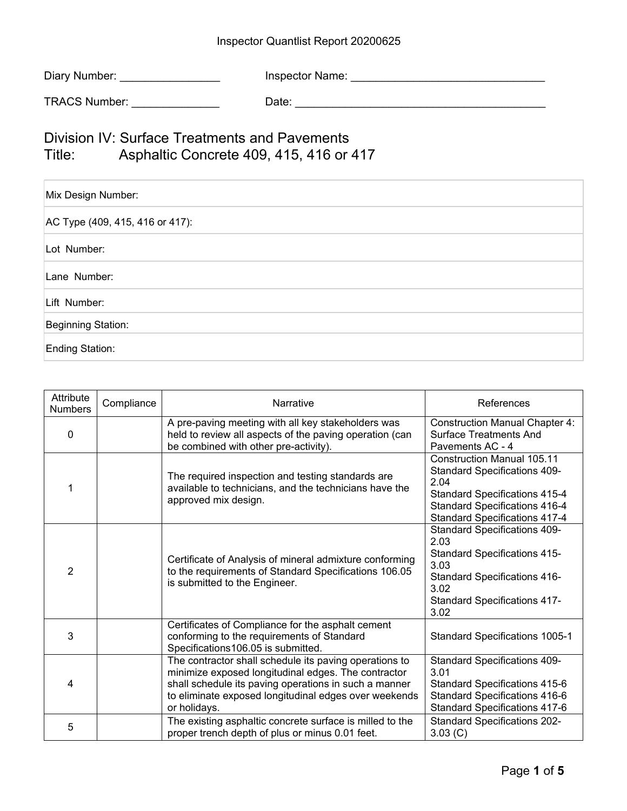## Inspector Quantlist Report 20200625

| Diary Number: | Inspector Name: |
|---------------|-----------------|
|---------------|-----------------|

TRACS Number: \_\_\_\_\_\_\_\_\_\_\_\_\_\_ Date: \_\_\_\_\_\_\_\_\_\_\_\_\_\_\_\_\_\_\_\_\_\_\_\_\_\_\_\_\_\_\_\_\_\_\_\_\_\_\_\_

Division IV: Surface Treatments and Pavements Title: Asphaltic Concrete 409, 415, 416 or 417

| Mix Design Number:              |
|---------------------------------|
| AC Type (409, 415, 416 or 417): |
| Lot Number:                     |
| Lane Number:                    |
| Lift Number:                    |
| Beginning Station:              |
| Ending Station:                 |

| Attribute<br><b>Numbers</b> | Compliance | Narrative                                                                                                                                                                                                                                       | References                                                                                                                                                                                               |
|-----------------------------|------------|-------------------------------------------------------------------------------------------------------------------------------------------------------------------------------------------------------------------------------------------------|----------------------------------------------------------------------------------------------------------------------------------------------------------------------------------------------------------|
| $\mathbf{0}$                |            | A pre-paving meeting with all key stakeholders was<br>held to review all aspects of the paving operation (can<br>be combined with other pre-activity).                                                                                          | <b>Construction Manual Chapter 4:</b><br><b>Surface Treatments And</b><br>Pavements AC - 4                                                                                                               |
|                             |            | The required inspection and testing standards are<br>available to technicians, and the technicians have the<br>approved mix design.                                                                                                             | <b>Construction Manual 105.11</b><br><b>Standard Specifications 409-</b><br>2.04<br><b>Standard Specifications 415-4</b><br><b>Standard Specifications 416-4</b><br><b>Standard Specifications 417-4</b> |
| 2                           |            | Certificate of Analysis of mineral admixture conforming<br>to the requirements of Standard Specifications 106.05<br>is submitted to the Engineer.                                                                                               | <b>Standard Specifications 409-</b><br>2.03<br><b>Standard Specifications 415-</b><br>3.03<br><b>Standard Specifications 416-</b><br>3.02<br><b>Standard Specifications 417-</b><br>3.02                 |
| 3                           |            | Certificates of Compliance for the asphalt cement<br>conforming to the requirements of Standard<br>Specifications 106.05 is submitted.                                                                                                          | Standard Specifications 1005-1                                                                                                                                                                           |
| 4                           |            | The contractor shall schedule its paving operations to<br>minimize exposed longitudinal edges. The contractor<br>shall schedule its paving operations in such a manner<br>to eliminate exposed longitudinal edges over weekends<br>or holidays. | <b>Standard Specifications 409-</b><br>3.01<br>Standard Specifications 415-6<br>Standard Specifications 416-6<br><b>Standard Specifications 417-6</b>                                                    |
| 5                           |            | The existing asphaltic concrete surface is milled to the<br>proper trench depth of plus or minus 0.01 feet.                                                                                                                                     | <b>Standard Specifications 202-</b><br>3.03 (C)                                                                                                                                                          |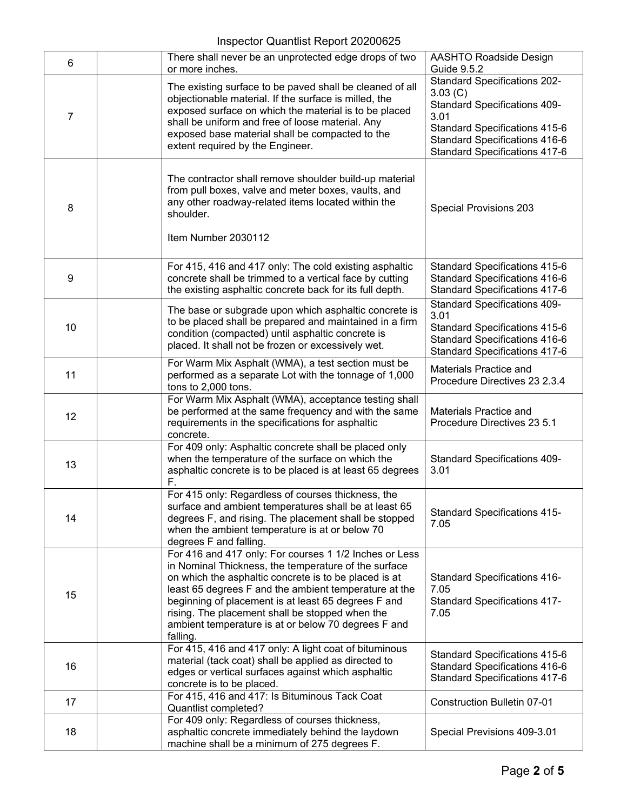## Inspector Quantlist Report 20200625

| 6  | There shall never be an unprotected edge drops of two                                                                                                                                                                                                                                                                                                                                                         | <b>AASHTO Roadside Design</b>                                                                                                                              |
|----|---------------------------------------------------------------------------------------------------------------------------------------------------------------------------------------------------------------------------------------------------------------------------------------------------------------------------------------------------------------------------------------------------------------|------------------------------------------------------------------------------------------------------------------------------------------------------------|
|    | or more inches.                                                                                                                                                                                                                                                                                                                                                                                               | <b>Guide 9.5.2</b><br><b>Standard Specifications 202-</b>                                                                                                  |
| 7  | The existing surface to be paved shall be cleaned of all<br>objectionable material. If the surface is milled, the<br>exposed surface on which the material is to be placed<br>shall be uniform and free of loose material. Any<br>exposed base material shall be compacted to the<br>extent required by the Engineer.                                                                                         | 3.03 (C)<br><b>Standard Specifications 409-</b><br>3.01<br>Standard Specifications 415-6<br>Standard Specifications 416-6<br>Standard Specifications 417-6 |
| 8  | The contractor shall remove shoulder build-up material<br>from pull boxes, valve and meter boxes, vaults, and<br>any other roadway-related items located within the<br>shoulder.<br>Item Number 2030112                                                                                                                                                                                                       | Special Provisions 203                                                                                                                                     |
| 9  | For 415, 416 and 417 only: The cold existing asphaltic<br>concrete shall be trimmed to a vertical face by cutting<br>the existing asphaltic concrete back for its full depth.                                                                                                                                                                                                                                 | <b>Standard Specifications 415-6</b><br>Standard Specifications 416-6<br><b>Standard Specifications 417-6</b>                                              |
| 10 | The base or subgrade upon which asphaltic concrete is<br>to be placed shall be prepared and maintained in a firm<br>condition (compacted) until asphaltic concrete is<br>placed. It shall not be frozen or excessively wet.                                                                                                                                                                                   | <b>Standard Specifications 409-</b><br>3.01<br>Standard Specifications 415-6<br>Standard Specifications 416-6<br><b>Standard Specifications 417-6</b>      |
| 11 | For Warm Mix Asphalt (WMA), a test section must be<br>performed as a separate Lot with the tonnage of 1,000<br>tons to 2,000 tons.                                                                                                                                                                                                                                                                            | Materials Practice and<br>Procedure Directives 23 2.3.4                                                                                                    |
| 12 | For Warm Mix Asphalt (WMA), acceptance testing shall<br>be performed at the same frequency and with the same<br>requirements in the specifications for asphaltic<br>concrete.                                                                                                                                                                                                                                 | Materials Practice and<br>Procedure Directives 23 5.1                                                                                                      |
| 13 | For 409 only: Asphaltic concrete shall be placed only<br>when the temperature of the surface on which the<br>asphaltic concrete is to be placed is at least 65 degrees<br>F.                                                                                                                                                                                                                                  | <b>Standard Specifications 409-</b><br>3.01                                                                                                                |
| 14 | For 415 only: Regardless of courses thickness, the<br>surface and ambient temperatures shall be at least 65<br>degrees F, and rising. The placement shall be stopped<br>when the ambient temperature is at or below 70<br>degrees F and falling.                                                                                                                                                              | <b>Standard Specifications 415-</b><br>7.05                                                                                                                |
| 15 | For 416 and 417 only: For courses 1 1/2 Inches or Less<br>in Nominal Thickness, the temperature of the surface<br>on which the asphaltic concrete is to be placed is at<br>least 65 degrees F and the ambient temperature at the<br>beginning of placement is at least 65 degrees F and<br>rising. The placement shall be stopped when the<br>ambient temperature is at or below 70 degrees F and<br>falling. | <b>Standard Specifications 416-</b><br>7.05<br><b>Standard Specifications 417-</b><br>7.05                                                                 |
| 16 | For 415, 416 and 417 only: A light coat of bituminous<br>material (tack coat) shall be applied as directed to<br>edges or vertical surfaces against which asphaltic<br>concrete is to be placed.                                                                                                                                                                                                              | Standard Specifications 415-6<br>Standard Specifications 416-6<br>Standard Specifications 417-6                                                            |
| 17 | For 415, 416 and 417: Is Bituminous Tack Coat<br>Quantlist completed?                                                                                                                                                                                                                                                                                                                                         | Construction Bulletin 07-01                                                                                                                                |
| 18 | For 409 only: Regardless of courses thickness,<br>asphaltic concrete immediately behind the laydown<br>machine shall be a minimum of 275 degrees F.                                                                                                                                                                                                                                                           | Special Previsions 409-3.01                                                                                                                                |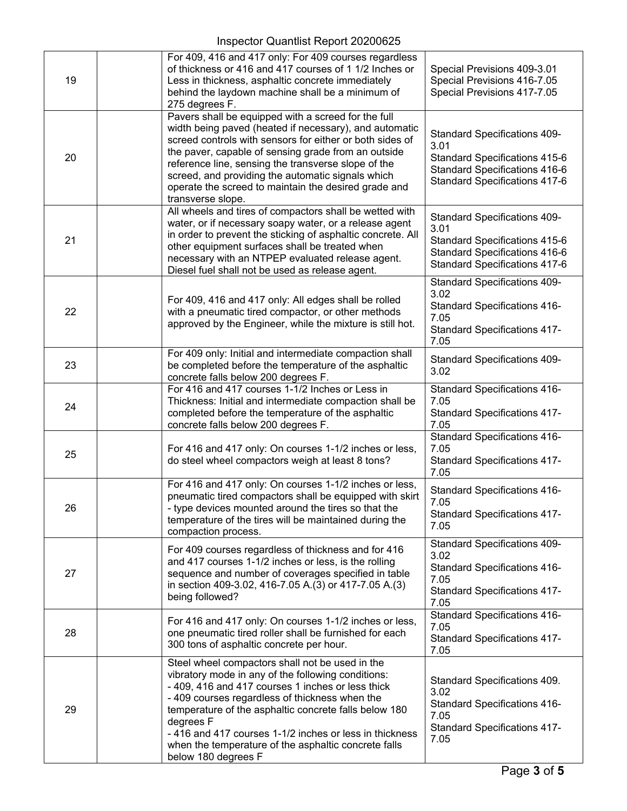| 19 | For 409, 416 and 417 only: For 409 courses regardless<br>of thickness or 416 and 417 courses of 1 1/2 Inches or<br>Less in thickness, asphaltic concrete immediately<br>behind the laydown machine shall be a minimum of<br>275 degrees F.                                                                                                                                                                                   | Special Previsions 409-3.01<br>Special Previsions 416-7.05<br>Special Previsions 417-7.05                                                                    |
|----|------------------------------------------------------------------------------------------------------------------------------------------------------------------------------------------------------------------------------------------------------------------------------------------------------------------------------------------------------------------------------------------------------------------------------|--------------------------------------------------------------------------------------------------------------------------------------------------------------|
| 20 | Pavers shall be equipped with a screed for the full<br>width being paved (heated if necessary), and automatic<br>screed controls with sensors for either or both sides of<br>the paver, capable of sensing grade from an outside<br>reference line, sensing the transverse slope of the<br>screed, and providing the automatic signals which<br>operate the screed to maintain the desired grade and<br>transverse slope.    | <b>Standard Specifications 409-</b><br>3.01<br><b>Standard Specifications 415-6</b><br>Standard Specifications 416-6<br><b>Standard Specifications 417-6</b> |
| 21 | All wheels and tires of compactors shall be wetted with<br>water, or if necessary soapy water, or a release agent<br>in order to prevent the sticking of asphaltic concrete. All<br>other equipment surfaces shall be treated when<br>necessary with an NTPEP evaluated release agent.<br>Diesel fuel shall not be used as release agent.                                                                                    | <b>Standard Specifications 409-</b><br>3.01<br>Standard Specifications 415-6<br>Standard Specifications 416-6<br><b>Standard Specifications 417-6</b>        |
| 22 | For 409, 416 and 417 only: All edges shall be rolled<br>with a pneumatic tired compactor, or other methods<br>approved by the Engineer, while the mixture is still hot.                                                                                                                                                                                                                                                      | <b>Standard Specifications 409-</b><br>3.02<br><b>Standard Specifications 416-</b><br>7.05<br><b>Standard Specifications 417-</b><br>7.05                    |
| 23 | For 409 only: Initial and intermediate compaction shall<br>be completed before the temperature of the asphaltic<br>concrete falls below 200 degrees F.                                                                                                                                                                                                                                                                       | <b>Standard Specifications 409-</b><br>3.02                                                                                                                  |
| 24 | For 416 and 417 courses 1-1/2 Inches or Less in<br>Thickness: Initial and intermediate compaction shall be<br>completed before the temperature of the asphaltic<br>concrete falls below 200 degrees F.                                                                                                                                                                                                                       | <b>Standard Specifications 416-</b><br>7.05<br><b>Standard Specifications 417-</b><br>7.05                                                                   |
| 25 | For 416 and 417 only: On courses 1-1/2 inches or less,<br>do steel wheel compactors weigh at least 8 tons?                                                                                                                                                                                                                                                                                                                   | <b>Standard Specifications 416-</b><br>7.05<br><b>Standard Specifications 417-</b><br>7.05                                                                   |
| 26 | For 416 and 417 only: On courses 1-1/2 inches or less,<br>pneumatic tired compactors shall be equipped with skirt<br>- type devices mounted around the tires so that the<br>temperature of the tires will be maintained during the<br>compaction process.                                                                                                                                                                    | <b>Standard Specifications 416-</b><br>7.05<br><b>Standard Specifications 417-</b><br>7.05                                                                   |
| 27 | For 409 courses regardless of thickness and for 416<br>and 417 courses 1-1/2 inches or less, is the rolling<br>sequence and number of coverages specified in table<br>in section 409-3.02, 416-7.05 A.(3) or 417-7.05 A.(3)<br>being followed?                                                                                                                                                                               | <b>Standard Specifications 409-</b><br>3.02<br><b>Standard Specifications 416-</b><br>7.05<br><b>Standard Specifications 417-</b><br>7.05                    |
| 28 | For 416 and 417 only: On courses 1-1/2 inches or less,<br>one pneumatic tired roller shall be furnished for each<br>300 tons of asphaltic concrete per hour.                                                                                                                                                                                                                                                                 | <b>Standard Specifications 416-</b><br>7.05<br><b>Standard Specifications 417-</b><br>7.05                                                                   |
| 29 | Steel wheel compactors shall not be used in the<br>vibratory mode in any of the following conditions:<br>- 409, 416 and 417 courses 1 inches or less thick<br>- 409 courses regardless of thickness when the<br>temperature of the asphaltic concrete falls below 180<br>degrees F<br>- 416 and 417 courses 1-1/2 inches or less in thickness<br>when the temperature of the asphaltic concrete falls<br>below 180 degrees F | Standard Specifications 409.<br>3.02<br><b>Standard Specifications 416-</b><br>7.05<br><b>Standard Specifications 417-</b><br>7.05                           |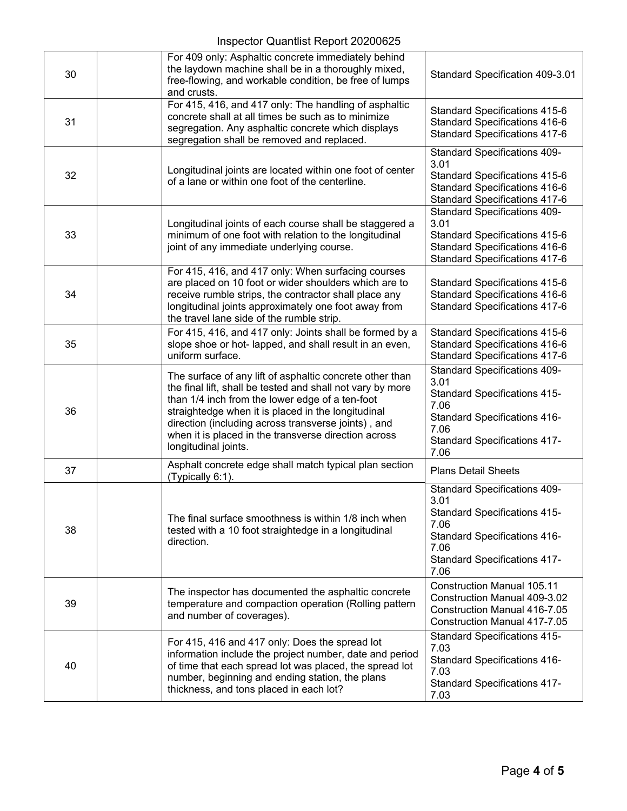## Inspector Quantlist Report 20200625

| 30 | For 409 only: Asphaltic concrete immediately behind<br>the laydown machine shall be in a thoroughly mixed,<br>free-flowing, and workable condition, be free of lumps<br>and crusts.                                                                                                                                                                                    | Standard Specification 409-3.01                                                                                                                                                          |
|----|------------------------------------------------------------------------------------------------------------------------------------------------------------------------------------------------------------------------------------------------------------------------------------------------------------------------------------------------------------------------|------------------------------------------------------------------------------------------------------------------------------------------------------------------------------------------|
| 31 | For 415, 416, and 417 only: The handling of asphaltic<br>concrete shall at all times be such as to minimize<br>segregation. Any asphaltic concrete which displays<br>segregation shall be removed and replaced.                                                                                                                                                        | Standard Specifications 415-6<br><b>Standard Specifications 416-6</b><br><b>Standard Specifications 417-6</b>                                                                            |
| 32 | Longitudinal joints are located within one foot of center<br>of a lane or within one foot of the centerline.                                                                                                                                                                                                                                                           | <b>Standard Specifications 409-</b><br>3.01<br>Standard Specifications 415-6<br>Standard Specifications 416-6<br><b>Standard Specifications 417-6</b>                                    |
| 33 | Longitudinal joints of each course shall be staggered a<br>minimum of one foot with relation to the longitudinal<br>joint of any immediate underlying course.                                                                                                                                                                                                          | <b>Standard Specifications 409-</b><br>3.01<br>Standard Specifications 415-6<br>Standard Specifications 416-6<br><b>Standard Specifications 417-6</b>                                    |
| 34 | For 415, 416, and 417 only: When surfacing courses<br>are placed on 10 foot or wider shoulders which are to<br>receive rumble strips, the contractor shall place any<br>longitudinal joints approximately one foot away from<br>the travel lane side of the rumble strip.                                                                                              | Standard Specifications 415-6<br><b>Standard Specifications 416-6</b><br><b>Standard Specifications 417-6</b>                                                                            |
| 35 | For 415, 416, and 417 only: Joints shall be formed by a<br>slope shoe or hot- lapped, and shall result in an even,<br>uniform surface.                                                                                                                                                                                                                                 | Standard Specifications 415-6<br><b>Standard Specifications 416-6</b><br><b>Standard Specifications 417-6</b>                                                                            |
| 36 | The surface of any lift of asphaltic concrete other than<br>the final lift, shall be tested and shall not vary by more<br>than 1/4 inch from the lower edge of a ten-foot<br>straightedge when it is placed in the longitudinal<br>direction (including across transverse joints), and<br>when it is placed in the transverse direction across<br>longitudinal joints. | <b>Standard Specifications 409-</b><br>3.01<br><b>Standard Specifications 415-</b><br>7.06<br><b>Standard Specifications 416-</b><br>7.06<br><b>Standard Specifications 417-</b><br>7.06 |
| 37 | Asphalt concrete edge shall match typical plan section<br>(Typically 6:1).                                                                                                                                                                                                                                                                                             | <b>Plans Detail Sheets</b>                                                                                                                                                               |
| 38 | The final surface smoothness is within 1/8 inch when<br>tested with a 10 foot straightedge in a longitudinal<br>direction.                                                                                                                                                                                                                                             | <b>Standard Specifications 409-</b><br>3.01<br><b>Standard Specifications 415-</b><br>7.06<br><b>Standard Specifications 416-</b><br>7.06<br><b>Standard Specifications 417-</b><br>7.06 |
| 39 | The inspector has documented the asphaltic concrete<br>temperature and compaction operation (Rolling pattern<br>and number of coverages).                                                                                                                                                                                                                              | <b>Construction Manual 105.11</b><br>Construction Manual 409-3.02<br><b>Construction Manual 416-7.05</b><br><b>Construction Manual 417-7.05</b>                                          |
| 40 | For 415, 416 and 417 only: Does the spread lot<br>information include the project number, date and period<br>of time that each spread lot was placed, the spread lot<br>number, beginning and ending station, the plans<br>thickness, and tons placed in each lot?                                                                                                     | <b>Standard Specifications 415-</b><br>7.03<br><b>Standard Specifications 416-</b><br>7.03<br><b>Standard Specifications 417-</b><br>7.03                                                |